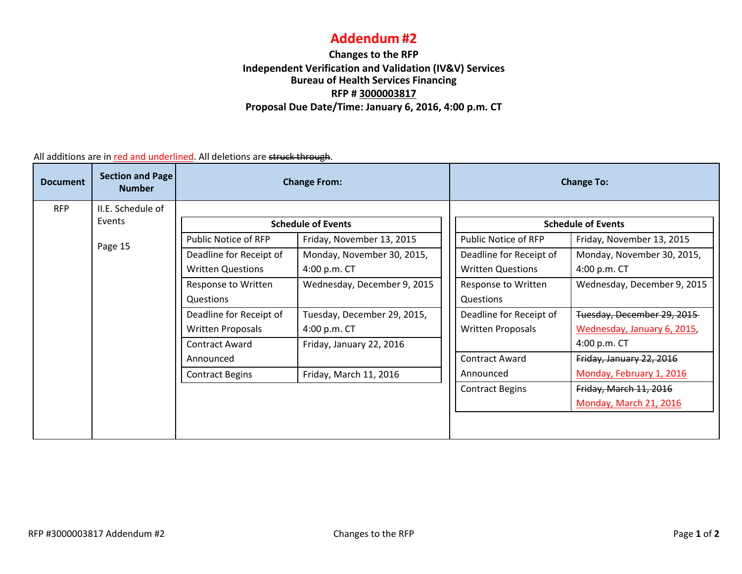## **Addendum #2**

## **Changes to the RFP Independent Verification and Validation (IV&V) Services Bureau of Health Services Financing RFP # 3000003817 Proposal Due Date/Time: January 6, 2016, 4:00 p.m. CT**

All additions are in <u>red and underlined</u>. All deletions are <del>struck through</del>.

| <b>Document</b> | Section and Page<br><b>Number</b> | <b>Change From:</b>       |                             | <b>Change To:</b>         |                          |                             |
|-----------------|-----------------------------------|---------------------------|-----------------------------|---------------------------|--------------------------|-----------------------------|
| <b>RFP</b>      | II.E. Schedule of                 |                           |                             |                           |                          |                             |
| Events          |                                   | <b>Schedule of Events</b> |                             | <b>Schedule of Events</b> |                          |                             |
|                 | Page 15                           | Public Notice of RFP      | Friday, November 13, 2015   |                           | Public Notice of RFP     | Friday, November 13, 2015   |
|                 |                                   | Deadline for Receipt of   | Monday, November 30, 2015,  |                           | Deadline for Receipt of  | Monday, November 30, 2015,  |
|                 |                                   | <b>Written Questions</b>  | 4:00 p.m. CT                |                           | <b>Written Questions</b> | 4:00 p.m. CT                |
|                 |                                   | Response to Written       | Wednesday, December 9, 2015 |                           | Response to Written      | Wednesday, December 9, 2015 |
|                 |                                   | Questions                 |                             |                           | Questions                |                             |
|                 |                                   | Deadline for Receipt of   | Tuesday, December 29, 2015, |                           | Deadline for Receipt of  | Tuesday, December 29, 2015  |
|                 |                                   | <b>Written Proposals</b>  | 4:00 p.m. CT                |                           | <b>Written Proposals</b> | Wednesday, January 6, 2015, |
|                 |                                   | Contract Award            | Friday, January 22, 2016    |                           |                          | 4:00 p.m. CT                |
|                 |                                   | Announced                 |                             |                           | <b>Contract Award</b>    | Friday, January 22, 2016    |
|                 |                                   | <b>Contract Begins</b>    | Friday, March 11, 2016      |                           | Announced                | Monday, February 1, 2016    |
|                 |                                   |                           |                             |                           | <b>Contract Begins</b>   | Friday, March 11, 2016      |
|                 |                                   |                           |                             |                           |                          | Monday, March 21, 2016      |
|                 |                                   |                           |                             |                           |                          |                             |